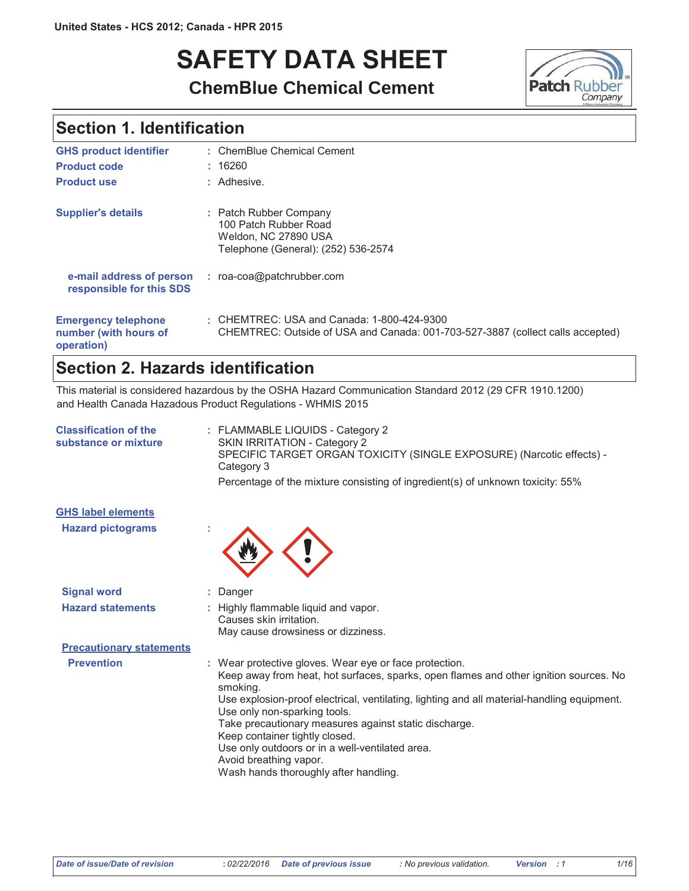# **SAFETY DATA SHEET ChemBlue Chemical Cement**



### **Section 1. Identification**

| <b>GHS product identifier</b>                                     | : ChemBlue Chemical Cement                                                                                                   |
|-------------------------------------------------------------------|------------------------------------------------------------------------------------------------------------------------------|
| <b>Product code</b>                                               | : 16260                                                                                                                      |
| <b>Product use</b>                                                | : Adhesive.                                                                                                                  |
| <b>Supplier's details</b>                                         | : Patch Rubber Company<br>100 Patch Rubber Road<br>Weldon, NC 27890 USA<br>Telephone (General): (252) 536-2574               |
| e-mail address of person<br>responsible for this SDS              | : roa-coa@patchrubber.com                                                                                                    |
| <b>Emergency telephone</b><br>number (with hours of<br>operation) | : CHEMTREC: USA and Canada: 1-800-424-9300<br>CHEMTREC: Outside of USA and Canada: 001-703-527-3887 (collect calls accepted) |

### Section 2. Hazards identification

This material is considered hazardous by the OSHA Hazard Communication Standard 2012 (29 CFR 1910.1200) and Health Canada Hazadous Product Regulations - WHMIS 2015

| <b>Classification of the</b><br>substance or mixture | : FLAMMABLE LIQUIDS - Category 2<br>SKIN IRRITATION - Category 2<br>SPECIFIC TARGET ORGAN TOXICITY (SINGLE EXPOSURE) (Narcotic effects) -<br>Category 3                                                                                                                                                                                                                                                                                                                                                    |
|------------------------------------------------------|------------------------------------------------------------------------------------------------------------------------------------------------------------------------------------------------------------------------------------------------------------------------------------------------------------------------------------------------------------------------------------------------------------------------------------------------------------------------------------------------------------|
|                                                      | Percentage of the mixture consisting of ingredient(s) of unknown toxicity: 55%                                                                                                                                                                                                                                                                                                                                                                                                                             |
| <b>GHS label elements</b>                            |                                                                                                                                                                                                                                                                                                                                                                                                                                                                                                            |
| <b>Hazard pictograms</b>                             |                                                                                                                                                                                                                                                                                                                                                                                                                                                                                                            |
| <b>Signal word</b>                                   | : Danger                                                                                                                                                                                                                                                                                                                                                                                                                                                                                                   |
| <b>Hazard statements</b>                             | : Highly flammable liquid and vapor.<br>Causes skin irritation.<br>May cause drowsiness or dizziness.                                                                                                                                                                                                                                                                                                                                                                                                      |
| <b>Precautionary statements</b>                      |                                                                                                                                                                                                                                                                                                                                                                                                                                                                                                            |
| <b>Prevention</b>                                    | : Wear protective gloves. Wear eye or face protection.<br>Keep away from heat, hot surfaces, sparks, open flames and other ignition sources. No<br>smoking.<br>Use explosion-proof electrical, ventilating, lighting and all material-handling equipment.<br>Use only non-sparking tools.<br>Take precautionary measures against static discharge.<br>Keep container tightly closed.<br>Use only outdoors or in a well-ventilated area.<br>Avoid breathing vapor.<br>Wash hands thoroughly after handling. |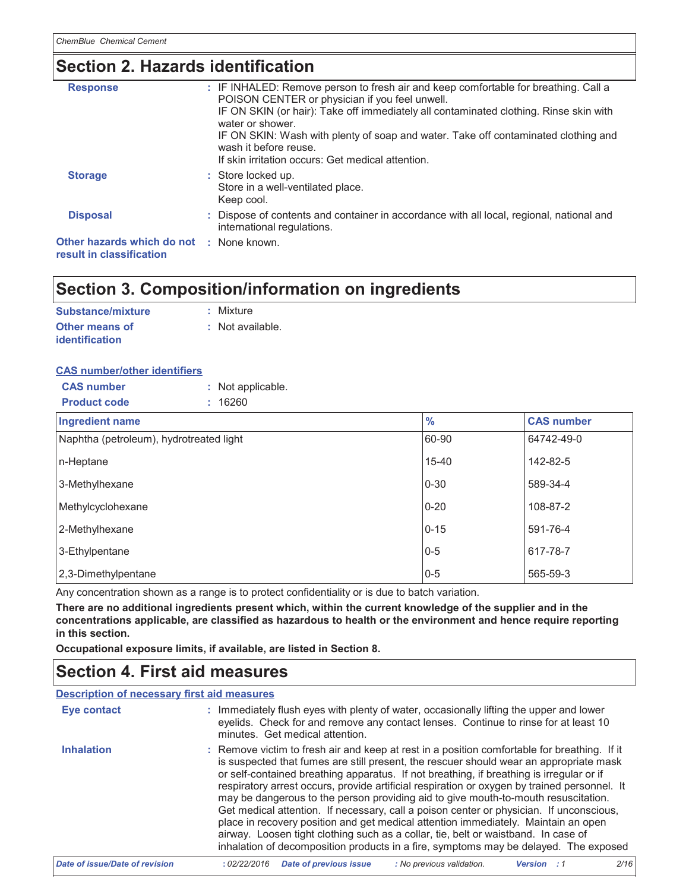### Section 2. Hazards identification

| <b>Response</b>                                        | : IF INHALED: Remove person to fresh air and keep comfortable for breathing. Call a<br>POISON CENTER or physician if you feel unwell.<br>IF ON SKIN (or hair): Take off immediately all contaminated clothing. Rinse skin with<br>water or shower.<br>IF ON SKIN: Wash with plenty of soap and water. Take off contaminated clothing and<br>wash it before reuse.<br>If skin irritation occurs: Get medical attention. |
|--------------------------------------------------------|------------------------------------------------------------------------------------------------------------------------------------------------------------------------------------------------------------------------------------------------------------------------------------------------------------------------------------------------------------------------------------------------------------------------|
| <b>Storage</b>                                         | : Store locked up.<br>Store in a well-ventilated place.<br>Keep cool.                                                                                                                                                                                                                                                                                                                                                  |
| <b>Disposal</b>                                        | : Dispose of contents and container in accordance with all local, regional, national and<br>international regulations.                                                                                                                                                                                                                                                                                                 |
| Other hazards which do not<br>result in classification | : None known.                                                                                                                                                                                                                                                                                                                                                                                                          |

### Section 3. Composition/information on ingredients

| Substance/mixture     | : Mixture        |
|-----------------------|------------------|
| <b>Other means of</b> | : Not available. |
| <b>identification</b> |                  |

#### **CAS number/other identifiers**

| <b>CAS number</b>   | : Not applicable. |
|---------------------|-------------------|
| <b>Product code</b> | : 16260           |

| Ingredient name                         | $\frac{9}{6}$ | <b>CAS number</b> |
|-----------------------------------------|---------------|-------------------|
| Naphtha (petroleum), hydrotreated light | 60-90         | 64742-49-0        |
| n-Heptane                               | $15 - 40$     | 142-82-5          |
| 3-Methylhexane                          | $0 - 30$      | 589-34-4          |
| Methylcyclohexane                       | $0 - 20$      | 108-87-2          |
| 2-Methylhexane                          | $0 - 15$      | 591-76-4          |
| 3-Ethylpentane                          | $0 - 5$       | 617-78-7          |
| 2,3-Dimethylpentane                     | $0-5$         | 565-59-3          |

Any concentration shown as a range is to protect confidentiality or is due to batch variation.

There are no additional ingredients present which, within the current knowledge of the supplier and in the concentrations applicable, are classified as hazardous to health or the environment and hence require reporting in this section.

Occupational exposure limits, if available, are listed in Section 8.

### **Section 4. First aid measures**

#### **Description of necessary first aid measures**

| <b>Eye contact</b>             | : Immediately flush eyes with plenty of water, occasionally lifting the upper and lower<br>eyelids. Check for and remove any contact lenses. Continue to rinse for at least 10<br>minutes. Get medical attention.                                                                                                                                                                                                                                                                                                                                                                                                                                                                                                                                                                                                                       |
|--------------------------------|-----------------------------------------------------------------------------------------------------------------------------------------------------------------------------------------------------------------------------------------------------------------------------------------------------------------------------------------------------------------------------------------------------------------------------------------------------------------------------------------------------------------------------------------------------------------------------------------------------------------------------------------------------------------------------------------------------------------------------------------------------------------------------------------------------------------------------------------|
| <b>Inhalation</b>              | : Remove victim to fresh air and keep at rest in a position comfortable for breathing. If it<br>is suspected that fumes are still present, the rescuer should wear an appropriate mask<br>or self-contained breathing apparatus. If not breathing, if breathing is irregular or if<br>respiratory arrest occurs, provide artificial respiration or oxygen by trained personnel. It<br>may be dangerous to the person providing aid to give mouth-to-mouth resuscitation.<br>Get medical attention. If necessary, call a poison center or physician. If unconscious,<br>place in recovery position and get medical attention immediately. Maintain an open<br>airway. Loosen tight clothing such as a collar, tie, belt or waistband. In case of<br>inhalation of decomposition products in a fire, symptoms may be delayed. The exposed |
| Date of issue/Date of revision | : No previous validation.<br>2/16<br><b>Date of previous issue</b><br>:02/22/2016<br>Version                                                                                                                                                                                                                                                                                                                                                                                                                                                                                                                                                                                                                                                                                                                                            |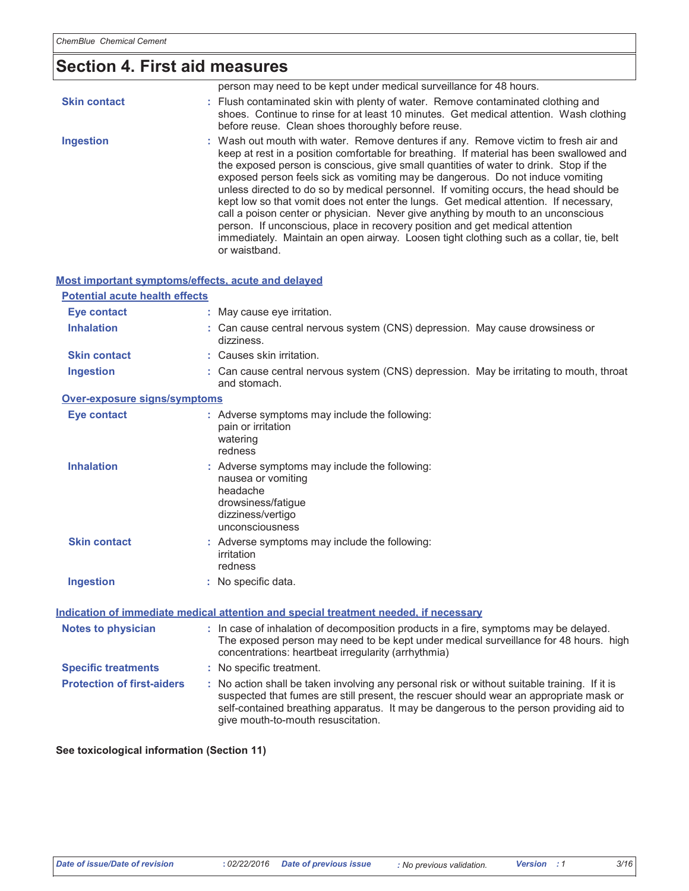# Section 4. First aid measures

|                     | person may need to be kept under medical surveillance for 48 hours.                                                                                                                                                                                                                                                                                                                                                                                                                                                                                                                                                                                                                                                                                                                                                           |
|---------------------|-------------------------------------------------------------------------------------------------------------------------------------------------------------------------------------------------------------------------------------------------------------------------------------------------------------------------------------------------------------------------------------------------------------------------------------------------------------------------------------------------------------------------------------------------------------------------------------------------------------------------------------------------------------------------------------------------------------------------------------------------------------------------------------------------------------------------------|
| <b>Skin contact</b> | : Flush contaminated skin with plenty of water. Remove contaminated clothing and<br>shoes. Continue to rinse for at least 10 minutes. Get medical attention. Wash clothing<br>before reuse. Clean shoes thoroughly before reuse.                                                                                                                                                                                                                                                                                                                                                                                                                                                                                                                                                                                              |
| <b>Ingestion</b>    | : Wash out mouth with water. Remove dentures if any. Remove victim to fresh air and<br>keep at rest in a position comfortable for breathing. If material has been swallowed and<br>the exposed person is conscious, give small quantities of water to drink. Stop if the<br>exposed person feels sick as vomiting may be dangerous. Do not induce vomiting<br>unless directed to do so by medical personnel. If vomiting occurs, the head should be<br>kept low so that vomit does not enter the lungs. Get medical attention. If necessary,<br>call a poison center or physician. Never give anything by mouth to an unconscious<br>person. If unconscious, place in recovery position and get medical attention<br>immediately. Maintain an open airway. Loosen tight clothing such as a collar, tie, belt<br>or waistband. |

#### Most important symptoms/effects, acute and delayed

| <b>Potential acute health effects</b>                                                |                                                                                                                                                                                                                                                                                                                         |  |
|--------------------------------------------------------------------------------------|-------------------------------------------------------------------------------------------------------------------------------------------------------------------------------------------------------------------------------------------------------------------------------------------------------------------------|--|
| <b>Eye contact</b>                                                                   | : May cause eye irritation.                                                                                                                                                                                                                                                                                             |  |
| <b>Inhalation</b>                                                                    | : Can cause central nervous system (CNS) depression. May cause drowsiness or<br>dizziness.                                                                                                                                                                                                                              |  |
| <b>Skin contact</b>                                                                  | : Causes skin irritation.                                                                                                                                                                                                                                                                                               |  |
| <b>Ingestion</b>                                                                     | : Can cause central nervous system (CNS) depression. May be irritating to mouth, throat<br>and stomach.                                                                                                                                                                                                                 |  |
| Over-exposure signs/symptoms                                                         |                                                                                                                                                                                                                                                                                                                         |  |
| Eye contact                                                                          | : Adverse symptoms may include the following:<br>pain or irritation<br>watering<br>redness                                                                                                                                                                                                                              |  |
| <b>Inhalation</b>                                                                    | : Adverse symptoms may include the following:<br>nausea or vomiting<br>headache<br>drowsiness/fatigue<br>dizziness/vertigo<br>unconsciousness                                                                                                                                                                           |  |
| <b>Skin contact</b>                                                                  | : Adverse symptoms may include the following:<br>irritation<br>redness                                                                                                                                                                                                                                                  |  |
| <b>Ingestion</b>                                                                     | : No specific data.                                                                                                                                                                                                                                                                                                     |  |
| Indication of immediate medical attention and special treatment needed, if necessary |                                                                                                                                                                                                                                                                                                                         |  |
| <b>Notes to physician</b>                                                            | : In case of inhalation of decomposition products in a fire, symptoms may be delayed.<br>The exposed person may need to be kept under medical surveillance for 48 hours. high<br>concentrations: heartbeat irregularity (arrhythmia)                                                                                    |  |
| <b>Specific treatments</b>                                                           | : No specific treatment.                                                                                                                                                                                                                                                                                                |  |
| <b>Protection of first-aiders</b>                                                    | : No action shall be taken involving any personal risk or without suitable training. If it is<br>suspected that fumes are still present, the rescuer should wear an appropriate mask or<br>self-contained breathing apparatus. It may be dangerous to the person providing aid to<br>give mouth-to-mouth resuscitation. |  |

#### See toxicological information (Section 11)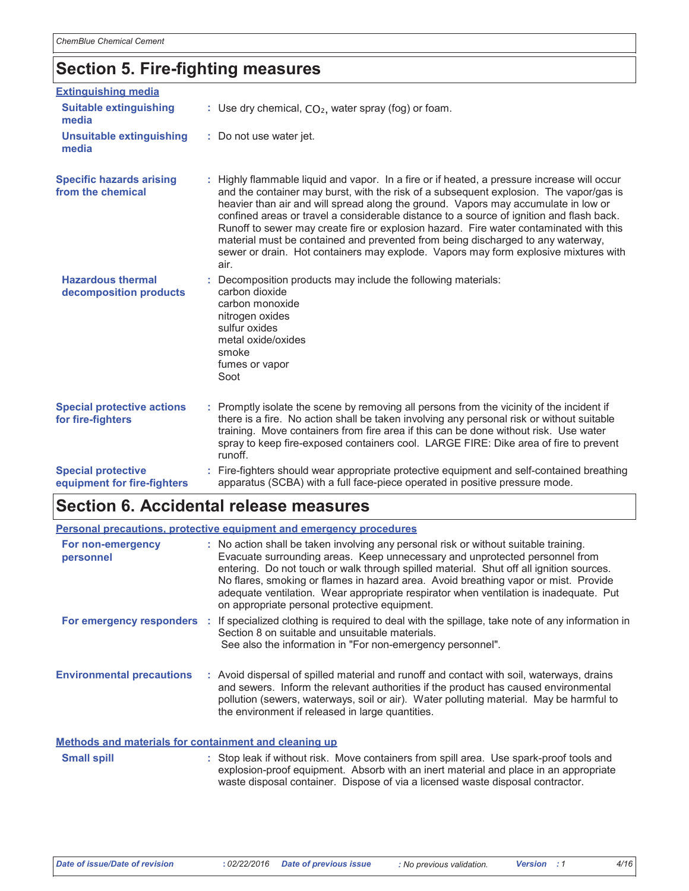## **Section 5. Fire-fighting measures**

| <b>Extinguishing media</b>                               |                                                                                                                                                                                                                                                                                                                                                                                                                                                                                                                                                                                                                                                     |
|----------------------------------------------------------|-----------------------------------------------------------------------------------------------------------------------------------------------------------------------------------------------------------------------------------------------------------------------------------------------------------------------------------------------------------------------------------------------------------------------------------------------------------------------------------------------------------------------------------------------------------------------------------------------------------------------------------------------------|
| <b>Suitable extinguishing</b><br>media                   | : Use dry chemical, $CO2$ , water spray (fog) or foam.                                                                                                                                                                                                                                                                                                                                                                                                                                                                                                                                                                                              |
| <b>Unsuitable extinguishing</b><br>media                 | : Do not use water jet.                                                                                                                                                                                                                                                                                                                                                                                                                                                                                                                                                                                                                             |
| <b>Specific hazards arising</b><br>from the chemical     | : Highly flammable liquid and vapor. In a fire or if heated, a pressure increase will occur<br>and the container may burst, with the risk of a subsequent explosion. The vapor/gas is<br>heavier than air and will spread along the ground. Vapors may accumulate in low or<br>confined areas or travel a considerable distance to a source of ignition and flash back.<br>Runoff to sewer may create fire or explosion hazard. Fire water contaminated with this<br>material must be contained and prevented from being discharged to any waterway,<br>sewer or drain. Hot containers may explode. Vapors may form explosive mixtures with<br>air. |
| <b>Hazardous thermal</b><br>decomposition products       | : Decomposition products may include the following materials:<br>carbon dioxide<br>carbon monoxide<br>nitrogen oxides<br>sulfur oxides<br>metal oxide/oxides<br>smoke<br>fumes or vapor<br>Soot                                                                                                                                                                                                                                                                                                                                                                                                                                                     |
| <b>Special protective actions</b><br>for fire-fighters   | : Promptly isolate the scene by removing all persons from the vicinity of the incident if<br>there is a fire. No action shall be taken involving any personal risk or without suitable<br>training. Move containers from fire area if this can be done without risk. Use water<br>spray to keep fire-exposed containers cool. LARGE FIRE: Dike area of fire to prevent<br>runoff.                                                                                                                                                                                                                                                                   |
| <b>Special protective</b><br>equipment for fire-fighters | : Fire-fighters should wear appropriate protective equipment and self-contained breathing<br>apparatus (SCBA) with a full face-piece operated in positive pressure mode.                                                                                                                                                                                                                                                                                                                                                                                                                                                                            |

## Section 6. Accidental release measures

|                                                       | Personal precautions, protective equipment and emergency procedures                                                                                                                                                                                                                                                                                                                                                                                                                             |
|-------------------------------------------------------|-------------------------------------------------------------------------------------------------------------------------------------------------------------------------------------------------------------------------------------------------------------------------------------------------------------------------------------------------------------------------------------------------------------------------------------------------------------------------------------------------|
| For non-emergency<br>personnel                        | : No action shall be taken involving any personal risk or without suitable training.<br>Evacuate surrounding areas. Keep unnecessary and unprotected personnel from<br>entering. Do not touch or walk through spilled material. Shut off all ignition sources.<br>No flares, smoking or flames in hazard area. Avoid breathing vapor or mist. Provide<br>adequate ventilation. Wear appropriate respirator when ventilation is inadequate. Put<br>on appropriate personal protective equipment. |
|                                                       | For emergency responders : If specialized clothing is required to deal with the spillage, take note of any information in<br>Section 8 on suitable and unsuitable materials.<br>See also the information in "For non-emergency personnel".                                                                                                                                                                                                                                                      |
| <b>Environmental precautions</b>                      | : Avoid dispersal of spilled material and runoff and contact with soil, waterways, drains<br>and sewers. Inform the relevant authorities if the product has caused environmental<br>pollution (sewers, waterways, soil or air). Water polluting material. May be harmful to<br>the environment if released in large quantities.                                                                                                                                                                 |
| Methods and materials for containment and cleaning up |                                                                                                                                                                                                                                                                                                                                                                                                                                                                                                 |

**Small spill** : Stop leak if without risk. Move containers from spill area. Use spark-proof tools and explosion-proof equipment. Absorb with an inert material and place in an appropriate waste disposal container. Dispose of via a licensed waste disposal contractor.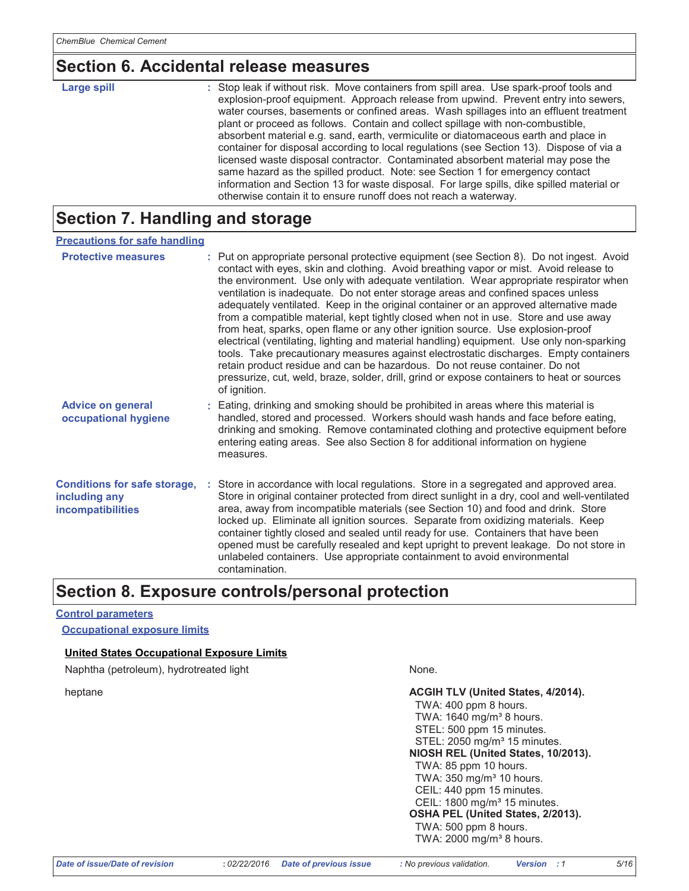### Section 6. Accidental release measures

| Large spill | : Stop leak if without risk. Move containers from spill area. Use spark-proof tools and<br>explosion-proof equipment. Approach release from upwind. Prevent entry into sewers,<br>water courses, basements or confined areas. Wash spillages into an effluent treatment<br>plant or proceed as follows. Contain and collect spillage with non-combustible,<br>absorbent material e.g. sand, earth, vermiculite or diatomaceous earth and place in<br>container for disposal according to local regulations (see Section 13). Dispose of via a<br>licensed waste disposal contractor. Contaminated absorbent material may pose the<br>same hazard as the spilled product. Note: see Section 1 for emergency contact<br>information and Section 13 for waste disposal. For large spills, dike spilled material or |
|-------------|-----------------------------------------------------------------------------------------------------------------------------------------------------------------------------------------------------------------------------------------------------------------------------------------------------------------------------------------------------------------------------------------------------------------------------------------------------------------------------------------------------------------------------------------------------------------------------------------------------------------------------------------------------------------------------------------------------------------------------------------------------------------------------------------------------------------|
|             | otherwise contain it to ensure runoff does not reach a waterway.                                                                                                                                                                                                                                                                                                                                                                                                                                                                                                                                                                                                                                                                                                                                                |

### **Section 7. Handling and storage**

| <b>Precautions for safe handling</b>                                             |                                                                                                                                                                                                                                                                                                                                                                                                                                                                                                                                                                                                                                                                                                                                                                                                                                                                                                                                                                                                                      |
|----------------------------------------------------------------------------------|----------------------------------------------------------------------------------------------------------------------------------------------------------------------------------------------------------------------------------------------------------------------------------------------------------------------------------------------------------------------------------------------------------------------------------------------------------------------------------------------------------------------------------------------------------------------------------------------------------------------------------------------------------------------------------------------------------------------------------------------------------------------------------------------------------------------------------------------------------------------------------------------------------------------------------------------------------------------------------------------------------------------|
| <b>Protective measures</b>                                                       | : Put on appropriate personal protective equipment (see Section 8). Do not ingest. Avoid<br>contact with eyes, skin and clothing. Avoid breathing vapor or mist. Avoid release to<br>the environment. Use only with adequate ventilation. Wear appropriate respirator when<br>ventilation is inadequate. Do not enter storage areas and confined spaces unless<br>adequately ventilated. Keep in the original container or an approved alternative made<br>from a compatible material, kept tightly closed when not in use. Store and use away<br>from heat, sparks, open flame or any other ignition source. Use explosion-proof<br>electrical (ventilating, lighting and material handling) equipment. Use only non-sparking<br>tools. Take precautionary measures against electrostatic discharges. Empty containers<br>retain product residue and can be hazardous. Do not reuse container. Do not<br>pressurize, cut, weld, braze, solder, drill, grind or expose containers to heat or sources<br>of ignition. |
| <b>Advice on general</b><br>occupational hygiene                                 | : Eating, drinking and smoking should be prohibited in areas where this material is<br>handled, stored and processed. Workers should wash hands and face before eating,<br>drinking and smoking. Remove contaminated clothing and protective equipment before<br>entering eating areas. See also Section 8 for additional information on hygiene<br>measures.                                                                                                                                                                                                                                                                                                                                                                                                                                                                                                                                                                                                                                                        |
| <b>Conditions for safe storage,</b><br>including any<br><i>incompatibilities</i> | : Store in accordance with local regulations. Store in a segregated and approved area.<br>Store in original container protected from direct sunlight in a dry, cool and well-ventilated<br>area, away from incompatible materials (see Section 10) and food and drink. Store<br>locked up. Eliminate all ignition sources. Separate from oxidizing materials. Keep<br>container tightly closed and sealed until ready for use. Containers that have been<br>opened must be carefully resealed and kept upright to prevent leakage. Do not store in<br>unlabeled containers. Use appropriate containment to avoid environmental<br>contamination.                                                                                                                                                                                                                                                                                                                                                                     |

### Section 8. Exposure controls/personal protection

#### **Control parameters**

**Occupational exposure limits** 

#### **United States Occupational Exposure Limits**

Naphtha (petroleum), hydrotreated light

heptane

None.

ACGIH TLV (United States, 4/2014). TWA: 400 ppm 8 hours. TWA: 1640 mg/m<sup>3</sup> 8 hours. STEL: 500 ppm 15 minutes. STEL: 2050 mg/m<sup>3</sup> 15 minutes. NIOSH REL (United States, 10/2013). TWA: 85 ppm 10 hours. TWA: 350 mg/m<sup>3</sup> 10 hours. CEIL: 440 ppm 15 minutes. CEIL: 1800 mg/m<sup>3</sup> 15 minutes. OSHA PEL (United States, 2/2013). TWA: 500 ppm 8 hours. TWA: 2000 mg/m<sup>3</sup> 8 hours.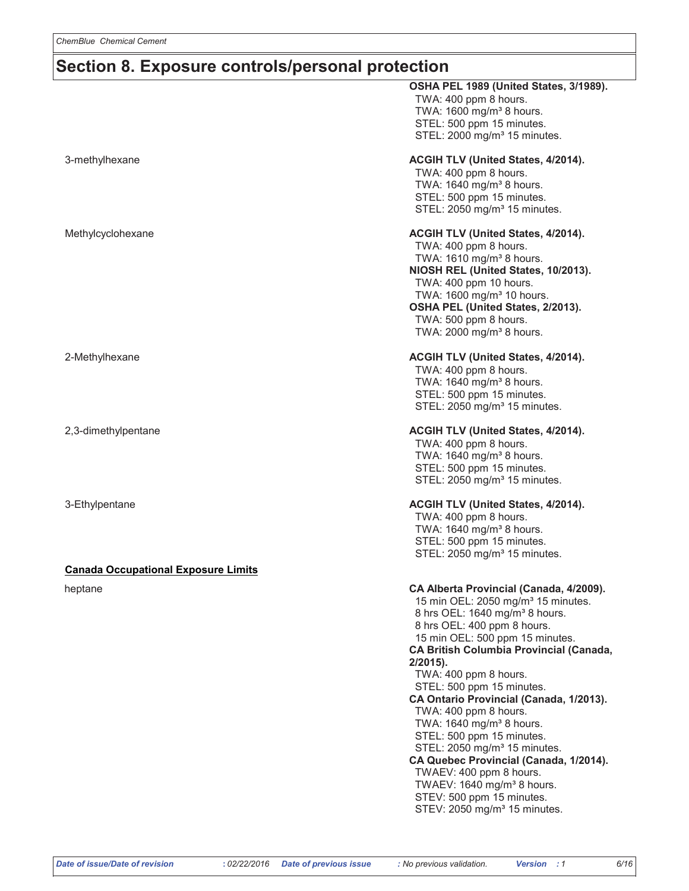### Section 8. Exposure controls/personal protection

|                                            | OSHA PEL 1989 (United States, 3/1989).<br>TWA: 400 ppm 8 hours.<br>TWA: 1600 mg/m <sup>3</sup> 8 hours.<br>STEL: 500 ppm 15 minutes.<br>STEL: 2000 mg/m <sup>3</sup> 15 minutes.                                                                                                                                                                                                                                                                                                                                                                                                                                                                                                                              |
|--------------------------------------------|---------------------------------------------------------------------------------------------------------------------------------------------------------------------------------------------------------------------------------------------------------------------------------------------------------------------------------------------------------------------------------------------------------------------------------------------------------------------------------------------------------------------------------------------------------------------------------------------------------------------------------------------------------------------------------------------------------------|
| 3-methylhexane                             | ACGIH TLV (United States, 4/2014).<br>TWA: 400 ppm 8 hours.<br>TWA: 1640 mg/m <sup>3</sup> 8 hours.<br>STEL: 500 ppm 15 minutes.<br>STEL: 2050 mg/m <sup>3</sup> 15 minutes.                                                                                                                                                                                                                                                                                                                                                                                                                                                                                                                                  |
| Methylcyclohexane                          | ACGIH TLV (United States, 4/2014).<br>TWA: 400 ppm 8 hours.<br>TWA: 1610 mg/m <sup>3</sup> 8 hours.<br>NIOSH REL (United States, 10/2013).<br>TWA: 400 ppm 10 hours.<br>TWA: 1600 mg/m <sup>3</sup> 10 hours.<br>OSHA PEL (United States, 2/2013).<br>TWA: 500 ppm 8 hours.<br>TWA: 2000 mg/m <sup>3</sup> 8 hours.                                                                                                                                                                                                                                                                                                                                                                                           |
| 2-Methylhexane                             | ACGIH TLV (United States, 4/2014).<br>TWA: 400 ppm 8 hours.<br>TWA: 1640 mg/m <sup>3</sup> 8 hours.<br>STEL: 500 ppm 15 minutes.<br>STEL: 2050 mg/m <sup>3</sup> 15 minutes.                                                                                                                                                                                                                                                                                                                                                                                                                                                                                                                                  |
| 2,3-dimethylpentane                        | ACGIH TLV (United States, 4/2014).<br>TWA: 400 ppm 8 hours.<br>TWA: 1640 mg/m <sup>3</sup> 8 hours.<br>STEL: 500 ppm 15 minutes.<br>STEL: 2050 mg/m <sup>3</sup> 15 minutes.                                                                                                                                                                                                                                                                                                                                                                                                                                                                                                                                  |
| 3-Ethylpentane                             | ACGIH TLV (United States, 4/2014).<br>TWA: 400 ppm 8 hours.<br>TWA: 1640 mg/m <sup>3</sup> 8 hours.<br>STEL: 500 ppm 15 minutes.<br>STEL: 2050 mg/m <sup>3</sup> 15 minutes.                                                                                                                                                                                                                                                                                                                                                                                                                                                                                                                                  |
| <b>Canada Occupational Exposure Limits</b> |                                                                                                                                                                                                                                                                                                                                                                                                                                                                                                                                                                                                                                                                                                               |
| heptane                                    | CA Alberta Provincial (Canada, 4/2009).<br>15 min OEL: 2050 mg/m <sup>3</sup> 15 minutes.<br>8 hrs OEL: 1640 mg/m <sup>3</sup> 8 hours.<br>8 hrs OEL: 400 ppm 8 hours.<br>15 min OEL: 500 ppm 15 minutes.<br><b>CA British Columbia Provincial (Canada,</b><br>$2/2015$ ).<br>TWA: 400 ppm 8 hours.<br>STEL: 500 ppm 15 minutes.<br>CA Ontario Provincial (Canada, 1/2013).<br>TWA: 400 ppm 8 hours.<br>TWA: 1640 mg/m <sup>3</sup> 8 hours.<br>STEL: 500 ppm 15 minutes.<br>STEL: 2050 mg/m <sup>3</sup> 15 minutes.<br>CA Quebec Provincial (Canada, 1/2014).<br>TWAEV: 400 ppm 8 hours.<br>TWAEV: 1640 mg/m <sup>3</sup> 8 hours.<br>STEV: 500 ppm 15 minutes.<br>STEV: 2050 mg/m <sup>3</sup> 15 minutes. |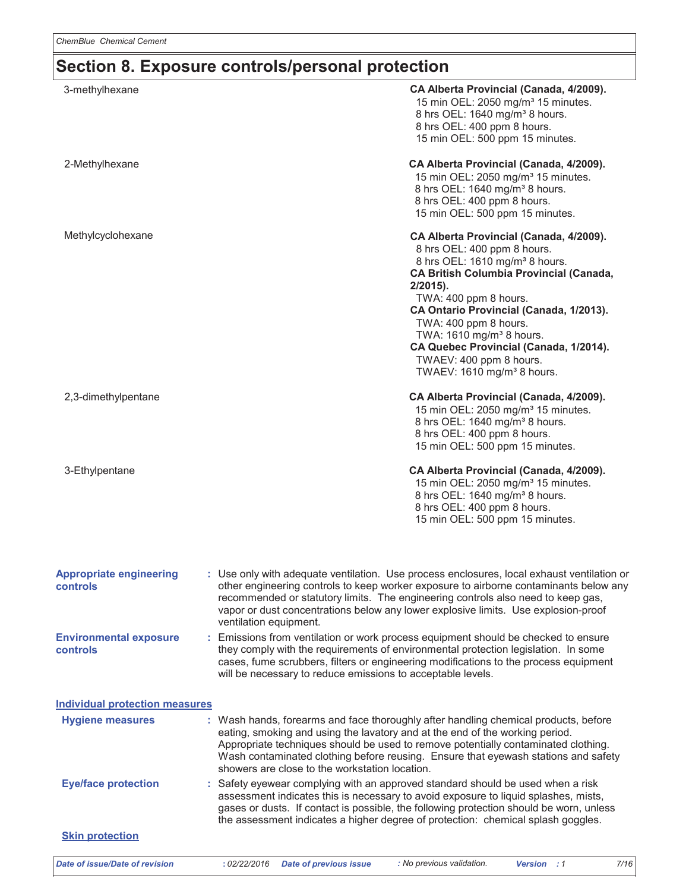# Section 8. Exposure controls/personal protection

| 3-methylhexane                             | CA Alberta Provincial (Canada, 4/2009).<br>15 min OEL: 2050 mg/m <sup>3</sup> 15 minutes.<br>8 hrs OEL: 1640 mg/m <sup>3</sup> 8 hours.<br>8 hrs OEL: 400 ppm 8 hours.<br>15 min OEL: 500 ppm 15 minutes.                                                                                                                                                                                                                                 |
|--------------------------------------------|-------------------------------------------------------------------------------------------------------------------------------------------------------------------------------------------------------------------------------------------------------------------------------------------------------------------------------------------------------------------------------------------------------------------------------------------|
| 2-Methylhexane                             | CA Alberta Provincial (Canada, 4/2009).<br>15 min OEL: 2050 mg/m <sup>3</sup> 15 minutes.<br>8 hrs OEL: 1640 mg/m <sup>3</sup> 8 hours.<br>8 hrs OEL: 400 ppm 8 hours.<br>15 min OEL: 500 ppm 15 minutes.                                                                                                                                                                                                                                 |
| Methylcyclohexane                          | CA Alberta Provincial (Canada, 4/2009).<br>8 hrs OEL: 400 ppm 8 hours.<br>8 hrs OEL: 1610 mg/m <sup>3</sup> 8 hours.<br><b>CA British Columbia Provincial (Canada,</b><br>$2/2015$ ).<br>TWA: 400 ppm 8 hours.<br>CA Ontario Provincial (Canada, 1/2013).<br>TWA: 400 ppm 8 hours.<br>TWA: 1610 mg/m <sup>3</sup> 8 hours.<br>CA Quebec Provincial (Canada, 1/2014).<br>TWAEV: 400 ppm 8 hours.<br>TWAEV: 1610 mg/m <sup>3</sup> 8 hours. |
| 2,3-dimethylpentane                        | CA Alberta Provincial (Canada, 4/2009).<br>15 min OEL: 2050 mg/m <sup>3</sup> 15 minutes.<br>8 hrs OEL: 1640 mg/m <sup>3</sup> 8 hours.<br>8 hrs OEL: 400 ppm 8 hours.<br>15 min OEL: 500 ppm 15 minutes.                                                                                                                                                                                                                                 |
| 3-Ethylpentane                             | CA Alberta Provincial (Canada, 4/2009).<br>15 min OEL: 2050 mg/m <sup>3</sup> 15 minutes.<br>8 hrs OEL: 1640 mg/m <sup>3</sup> 8 hours.<br>8 hrs OEL: 400 ppm 8 hours.<br>15 min OEL: 500 ppm 15 minutes.                                                                                                                                                                                                                                 |
| <b>Appropriate engineering</b><br>controls | : Use only with adequate ventilation. Use process enclosures, local exhaust ventilation or<br>other engineering controls to keep worker exposure to airborne contaminants below any<br>recommended or statutory limits. The engineering controls also need to keep gas,<br>vapor or dust concentrations below any lower explosive limits. Use explosion-proof<br>ventilation equipment.                                                   |
| <b>Environmental exposure</b><br>controls  | : Emissions from ventilation or work process equipment should be checked to ensure<br>they comply with the requirements of environmental protection legislation. In some<br>cases, fume scrubbers, filters or engineering modifications to the process equipment<br>will be necessary to reduce emissions to acceptable levels.                                                                                                           |
| <b>Individual protection measures</b>      |                                                                                                                                                                                                                                                                                                                                                                                                                                           |
| <b>Hygiene measures</b>                    | : Wash hands, forearms and face thoroughly after handling chemical products, before<br>eating, smoking and using the lavatory and at the end of the working period.<br>Appropriate techniques should be used to remove potentially contaminated clothing.<br>Wash contaminated clothing before reusing. Ensure that eyewash stations and safety<br>showers are close to the workstation location.                                         |
| <b>Eye/face protection</b>                 | : Safety eyewear complying with an approved standard should be used when a risk<br>assessment indicates this is necessary to avoid exposure to liquid splashes, mists,<br>gases or dusts. If contact is possible, the following protection should be worn, unless<br>the assessment indicates a higher degree of protection: chemical splash goggles.                                                                                     |
| <b>Skin protection</b>                     |                                                                                                                                                                                                                                                                                                                                                                                                                                           |
| <b>Date of issue/Date of revision</b>      | : No previous validation.<br><b>Date of previous issue</b><br>: 02/22/2016<br>Version : 1<br>7/16                                                                                                                                                                                                                                                                                                                                         |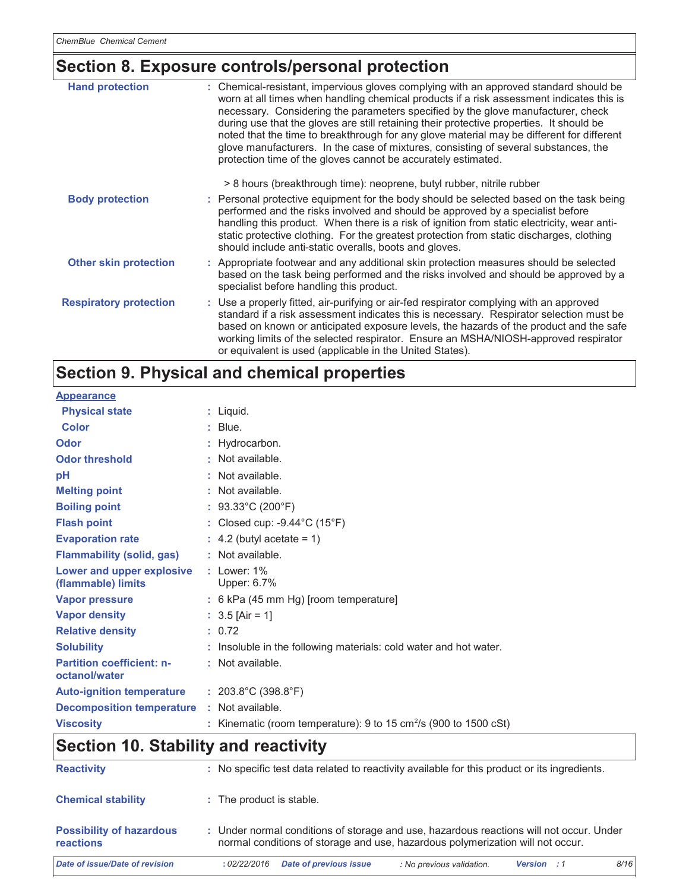# Section 8. Exposure controls/personal protection

| <b>Hand protection</b>        | : Chemical-resistant, impervious gloves complying with an approved standard should be<br>worn at all times when handling chemical products if a risk assessment indicates this is<br>necessary. Considering the parameters specified by the glove manufacturer, check<br>during use that the gloves are still retaining their protective properties. It should be<br>noted that the time to breakthrough for any glove material may be different for different<br>glove manufacturers. In the case of mixtures, consisting of several substances, the<br>protection time of the gloves cannot be accurately estimated. |
|-------------------------------|------------------------------------------------------------------------------------------------------------------------------------------------------------------------------------------------------------------------------------------------------------------------------------------------------------------------------------------------------------------------------------------------------------------------------------------------------------------------------------------------------------------------------------------------------------------------------------------------------------------------|
|                               | > 8 hours (breakthrough time): neoprene, butyl rubber, nitrile rubber                                                                                                                                                                                                                                                                                                                                                                                                                                                                                                                                                  |
| <b>Body protection</b>        | : Personal protective equipment for the body should be selected based on the task being<br>performed and the risks involved and should be approved by a specialist before<br>handling this product. When there is a risk of ignition from static electricity, wear anti-<br>static protective clothing. For the greatest protection from static discharges, clothing<br>should include anti-static overalls, boots and gloves.                                                                                                                                                                                         |
| <b>Other skin protection</b>  | : Appropriate footwear and any additional skin protection measures should be selected<br>based on the task being performed and the risks involved and should be approved by a<br>specialist before handling this product.                                                                                                                                                                                                                                                                                                                                                                                              |
| <b>Respiratory protection</b> | : Use a properly fitted, air-purifying or air-fed respirator complying with an approved<br>standard if a risk assessment indicates this is necessary. Respirator selection must be<br>based on known or anticipated exposure levels, the hazards of the product and the safe<br>working limits of the selected respirator. Ensure an MSHA/NIOSH-approved respirator<br>or equivalent is used (applicable in the United States).                                                                                                                                                                                        |

# Section 9. Physical and chemical properties

| <b>Physical state</b><br>$:$ Liquid.<br><b>Color</b><br>$:$ Blue.<br>Odor<br>: Hydrocarbon.<br>: Not available.<br><b>Odor threshold</b><br>pH<br>: Not available.<br><b>Melting point</b><br>: Not available.<br>: $93.33^{\circ}$ C (200 $^{\circ}$ F)<br><b>Boiling point</b><br><b>Flash point</b><br>: Closed cup: $-9.44^{\circ}$ C (15 $^{\circ}$ F)<br>$\therefore$ 4.2 (butyl acetate = 1)<br><b>Evaporation rate</b><br><b>Flammability (solid, gas)</b><br>: Not available.<br>: $1$ ower: $1\%$<br>Lower and upper explosive<br>Upper: 6.7%<br>(flammable) limits<br><b>Vapor pressure</b><br>: 6 kPa (45 mm Hg) [room temperature]<br><b>Vapor density</b><br>: $3.5$ [Air = 1]<br><b>Relative density</b><br>: 0.72 |
|-----------------------------------------------------------------------------------------------------------------------------------------------------------------------------------------------------------------------------------------------------------------------------------------------------------------------------------------------------------------------------------------------------------------------------------------------------------------------------------------------------------------------------------------------------------------------------------------------------------------------------------------------------------------------------------------------------------------------------------|
|                                                                                                                                                                                                                                                                                                                                                                                                                                                                                                                                                                                                                                                                                                                                   |
|                                                                                                                                                                                                                                                                                                                                                                                                                                                                                                                                                                                                                                                                                                                                   |
|                                                                                                                                                                                                                                                                                                                                                                                                                                                                                                                                                                                                                                                                                                                                   |
|                                                                                                                                                                                                                                                                                                                                                                                                                                                                                                                                                                                                                                                                                                                                   |
|                                                                                                                                                                                                                                                                                                                                                                                                                                                                                                                                                                                                                                                                                                                                   |
|                                                                                                                                                                                                                                                                                                                                                                                                                                                                                                                                                                                                                                                                                                                                   |
|                                                                                                                                                                                                                                                                                                                                                                                                                                                                                                                                                                                                                                                                                                                                   |
|                                                                                                                                                                                                                                                                                                                                                                                                                                                                                                                                                                                                                                                                                                                                   |
|                                                                                                                                                                                                                                                                                                                                                                                                                                                                                                                                                                                                                                                                                                                                   |
|                                                                                                                                                                                                                                                                                                                                                                                                                                                                                                                                                                                                                                                                                                                                   |
|                                                                                                                                                                                                                                                                                                                                                                                                                                                                                                                                                                                                                                                                                                                                   |
|                                                                                                                                                                                                                                                                                                                                                                                                                                                                                                                                                                                                                                                                                                                                   |
|                                                                                                                                                                                                                                                                                                                                                                                                                                                                                                                                                                                                                                                                                                                                   |
|                                                                                                                                                                                                                                                                                                                                                                                                                                                                                                                                                                                                                                                                                                                                   |
| <b>Solubility</b><br>: Insoluble in the following materials: cold water and hot water.                                                                                                                                                                                                                                                                                                                                                                                                                                                                                                                                                                                                                                            |
| <b>Partition coefficient: n-</b><br>: Not available.<br>octanol/water                                                                                                                                                                                                                                                                                                                                                                                                                                                                                                                                                                                                                                                             |
| : $203.8^{\circ}$ C (398.8 $^{\circ}$ F)<br><b>Auto-ignition temperature</b>                                                                                                                                                                                                                                                                                                                                                                                                                                                                                                                                                                                                                                                      |
| <b>Decomposition temperature</b><br>: Not available.                                                                                                                                                                                                                                                                                                                                                                                                                                                                                                                                                                                                                                                                              |
| <b>Viscosity</b><br>: Kinematic (room temperature): 9 to 15 $\text{cm}^2\text{/s}$ (900 to 1500 cSt)                                                                                                                                                                                                                                                                                                                                                                                                                                                                                                                                                                                                                              |

# **Section 10. Stability and reactivity**

| Date of issue/Date of revision               | <b>Date of previous issue</b><br>8/16<br>: No previous validation.<br><b>Version</b> : 1<br>: 02/22/2016                                                                  |
|----------------------------------------------|---------------------------------------------------------------------------------------------------------------------------------------------------------------------------|
| <b>Possibility of hazardous</b><br>reactions | : Under normal conditions of storage and use, hazardous reactions will not occur. Under<br>normal conditions of storage and use, hazardous polymerization will not occur. |
| <b>Chemical stability</b>                    | : The product is stable.                                                                                                                                                  |
| <b>Reactivity</b>                            | : No specific test data related to reactivity available for this product or its ingredients.                                                                              |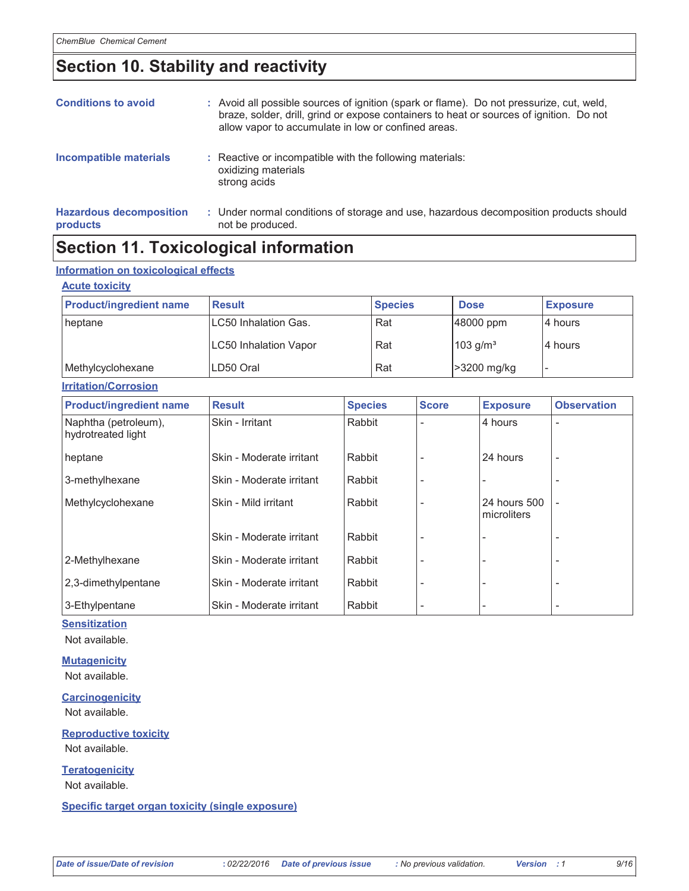### Section 10. Stability and reactivity

| <b>Conditions to avoid</b>                        | : Avoid all possible sources of ignition (spark or flame). Do not pressurize, cut, weld,<br>braze, solder, drill, grind or expose containers to heat or sources of ignition. Do not<br>allow vapor to accumulate in low or confined areas. |
|---------------------------------------------------|--------------------------------------------------------------------------------------------------------------------------------------------------------------------------------------------------------------------------------------------|
| <b>Incompatible materials</b>                     | : Reactive or incompatible with the following materials:<br>oxidizing materials<br>strong acids                                                                                                                                            |
| <b>Hazardous decomposition</b><br><b>products</b> | : Under normal conditions of storage and use, hazardous decomposition products should<br>not be produced.                                                                                                                                  |

### **Section 11. Toxicological information**

#### Information on toxicological effects

#### **Acute toxicity**

| <b>Product/ingredient name</b> | <b>Result</b>                | <b>Species</b> | <b>Dose</b>            | <b>Exposure</b> |
|--------------------------------|------------------------------|----------------|------------------------|-----------------|
| heptane                        | ILC50 Inhalation Gas.        | Rat            | 48000 ppm              | 14 hours        |
|                                | <b>LC50 Inhalation Vapor</b> | Rat            | $103$ g/m <sup>3</sup> | I4 hours        |
| Methylcyclohexane              | LD50 Oral                    | Rat            | >3200 mg/kg            |                 |
| <b>Irritation/Corrosion</b>    |                              |                |                        |                 |

| <b>Product/ingredient name</b>             | <b>Result</b>            | <b>Species</b> | <b>Score</b> | <b>Exposure</b>             | <b>Observation</b>       |
|--------------------------------------------|--------------------------|----------------|--------------|-----------------------------|--------------------------|
| Naphtha (petroleum),<br>hydrotreated light | Skin - Irritant          | Rabbit         |              | 4 hours                     | $\overline{\phantom{a}}$ |
| heptane                                    | Skin - Moderate irritant | Rabbit         |              | 24 hours                    | $\overline{\phantom{a}}$ |
| 3-methylhexane                             | Skin - Moderate irritant | Rabbit         |              |                             |                          |
| Methylcyclohexane                          | Skin - Mild irritant     | Rabbit         |              | 24 hours 500<br>microliters | $\overline{\phantom{0}}$ |
|                                            | Skin - Moderate irritant | Rabbit         |              |                             | $\overline{\phantom{a}}$ |
| 2-Methylhexane                             | Skin - Moderate irritant | Rabbit         |              |                             |                          |
| 2,3-dimethylpentane                        | Skin - Moderate irritant | Rabbit         |              |                             | $\overline{\phantom{a}}$ |
| 3-Ethylpentane                             | Skin - Moderate irritant | Rabbit         |              |                             |                          |

#### **Sensitization**

Not available.

**Mutagenicity** Not available.

**Carcinogenicity** Not available.

**Reproductive toxicity** Not available.

**Teratogenicity** Not available.

Specific target organ toxicity (single exposure)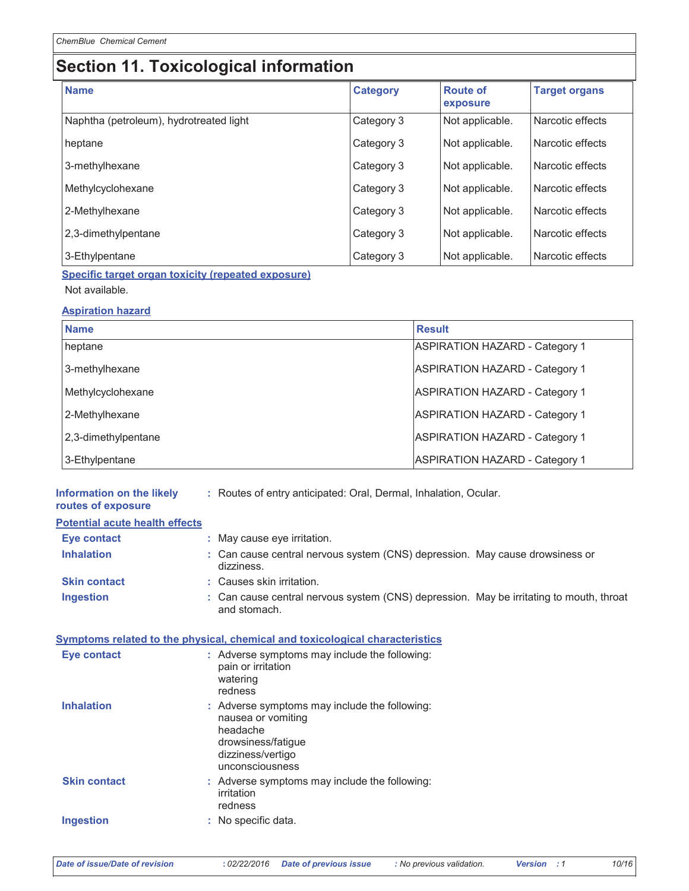# Section 11. Toxicological information

| <b>Name</b>                             | <b>Category</b> | <b>Route of</b><br>exposure | <b>Target organs</b> |
|-----------------------------------------|-----------------|-----------------------------|----------------------|
| Naphtha (petroleum), hydrotreated light | Category 3      | Not applicable.             | Narcotic effects     |
| heptane                                 | Category 3      | Not applicable.             | Narcotic effects     |
| 3-methylhexane                          | Category 3      | Not applicable.             | Narcotic effects     |
| Methylcyclohexane                       | Category 3      | Not applicable.             | Narcotic effects     |
| 2-Methylhexane                          | Category 3      | Not applicable.             | l Narcotic effects   |
| 2,3-dimethylpentane                     | Category 3      | Not applicable.             | Narcotic effects     |
| 3-Ethylpentane                          | Category 3      | Not applicable.             | Narcotic effects     |

Specific target organ toxicity (repeated exposure) Not available.

#### **Aspiration hazard**

| <b>Name</b>         | <b>Result</b>                         |
|---------------------|---------------------------------------|
| heptane             | <b>ASPIRATION HAZARD - Category 1</b> |
| 3-methylhexane      | <b>ASPIRATION HAZARD - Category 1</b> |
| Methylcyclohexane   | <b>ASPIRATION HAZARD - Category 1</b> |
| 2-Methylhexane      | <b>ASPIRATION HAZARD - Category 1</b> |
| 2,3-dimethylpentane | <b>ASPIRATION HAZARD - Category 1</b> |
| 3-Ethylpentane      | <b>ASPIRATION HAZARD - Category 1</b> |

| Information on the likely<br>routes of exposure | : Routes of entry anticipated: Oral, Dermal, Inhalation, Ocular.                                                                              |
|-------------------------------------------------|-----------------------------------------------------------------------------------------------------------------------------------------------|
| <b>Potential acute health effects</b>           |                                                                                                                                               |
| <b>Eye contact</b>                              | : May cause eye irritation.                                                                                                                   |
| <b>Inhalation</b>                               | : Can cause central nervous system (CNS) depression. May cause drowsiness or<br>dizziness.                                                    |
| <b>Skin contact</b>                             | : Causes skin irritation.                                                                                                                     |
| <b>Ingestion</b>                                | : Can cause central nervous system (CNS) depression. May be irritating to mouth, throat<br>and stomach.                                       |
|                                                 | Symptoms related to the physical, chemical and toxicological characteristics                                                                  |
| Eye contact                                     | : Adverse symptoms may include the following:<br>pain or irritation<br>watering<br>redness                                                    |
| <b>Inhalation</b>                               | : Adverse symptoms may include the following:<br>nausea or vomiting<br>headache<br>drowsiness/fatigue<br>dizziness/vertigo<br>unconsciousness |
| <b>Skin contact</b>                             | : Adverse symptoms may include the following:<br>irritation<br>redness                                                                        |
| <b>Ingestion</b>                                | : No specific data.                                                                                                                           |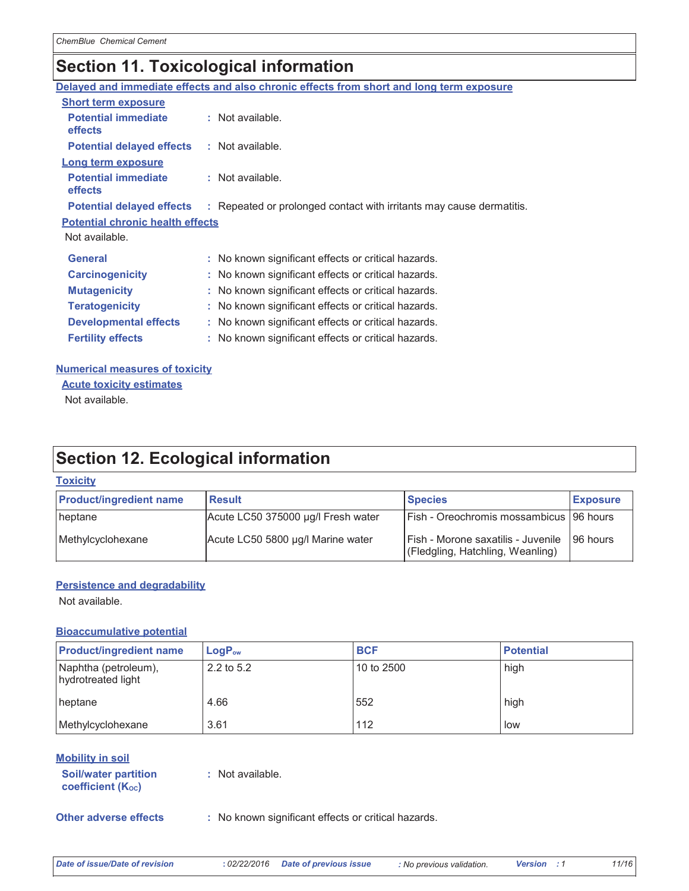# **Section 11. Toxicological information**

|                                              | Delayed and immediate effects and also chronic effects from short and long term exposure |
|----------------------------------------------|------------------------------------------------------------------------------------------|
| <b>Short term exposure</b>                   |                                                                                          |
| <b>Potential immediate</b><br><b>effects</b> | : Not available.                                                                         |
| <b>Potential delayed effects</b>             | : Not available.                                                                         |
| Long term exposure                           |                                                                                          |
| <b>Potential immediate</b><br><b>effects</b> | : Not available.                                                                         |
| <b>Potential delayed effects</b>             | : Repeated or prolonged contact with irritants may cause dermatitis.                     |
| <b>Potential chronic health effects</b>      |                                                                                          |
| Not available.                               |                                                                                          |
| <b>General</b>                               | : No known significant effects or critical hazards.                                      |
| <b>Carcinogenicity</b>                       | : No known significant effects or critical hazards.                                      |
| <b>Mutagenicity</b>                          | : No known significant effects or critical hazards.                                      |
| <b>Teratogenicity</b>                        | : No known significant effects or critical hazards.                                      |
| <b>Developmental effects</b>                 | : No known significant effects or critical hazards.                                      |
| <b>Fertility effects</b>                     | : No known significant effects or critical hazards.                                      |
|                                              |                                                                                          |

#### **Numerical measures of toxicity**

**Acute toxicity estimates** 

Not available.

## **Section 12. Ecological information**

### **Toxicity**

| <b>Product/ingredient name</b> | <b>Result</b>                      | <b>Species</b>                                                         | <b>Exposure</b> |
|--------------------------------|------------------------------------|------------------------------------------------------------------------|-----------------|
| heptane                        | Acute LC50 375000 µg/l Fresh water | Fish - Oreochromis mossambicus   96 hours                              |                 |
| Methylcyclohexane              | Acute LC50 5800 µg/l Marine water  | Fish - Morone saxatilis - Juvenile<br>(Fledgling, Hatchling, Weanling) | 96 hours        |

#### **Persistence and degradability**

Not available.

#### **Bioaccumulative potential**

| <b>Product/ingredient name</b>             | $LogP_{ow}$ | <b>BCF</b>   | <b>Potential</b> |
|--------------------------------------------|-------------|--------------|------------------|
| Naphtha (petroleum),<br>hydrotreated light | 2.2 to 5.2  | l 10 to 2500 | high             |
| heptane                                    | 4.66        | 552          | high             |
| Methylcyclohexane                          | 3.61        | 112          | low              |

#### **Mobility in soil**

| <b>Soil/water partition</b> | : No |
|-----------------------------|------|
| <b>coefficient (Koc)</b>    |      |

ot available.

**Other adverse effects** 

: No known significant effects or critical hazards.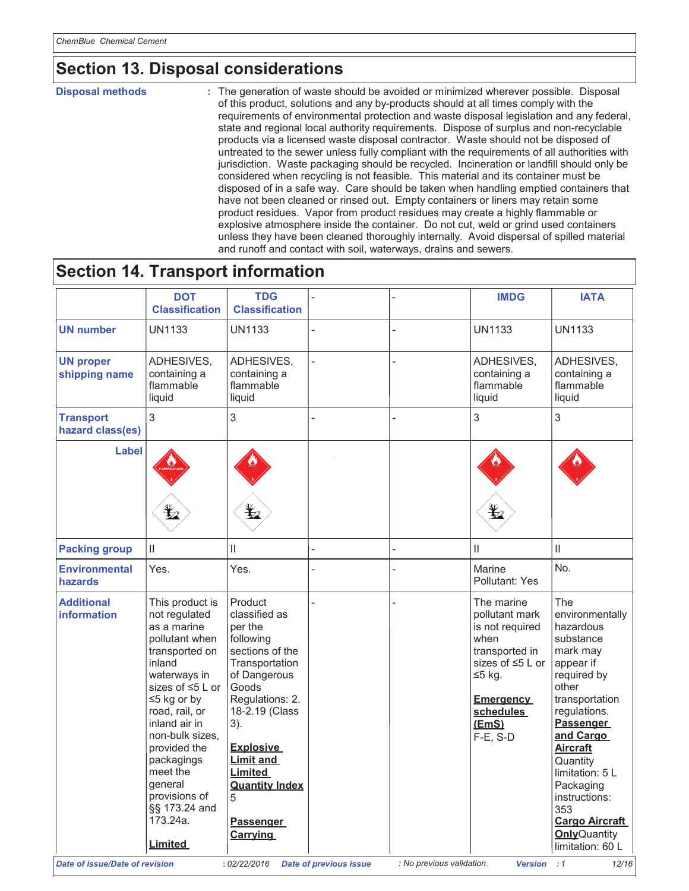# **Section 13. Disposal considerations**

**Disposal methods** 

: The generation of waste should be avoided or minimized wherever possible. Disposal of this product, solutions and any by-products should at all times comply with the requirements of environmental protection and waste disposal legislation and any federal, state and regional local authority requirements. Dispose of surplus and non-recyclable products via a licensed waste disposal contractor. Waste should not be disposed of untreated to the sewer unless fully compliant with the requirements of all authorities with jurisdiction. Waste packaging should be recycled. Incineration or landfill should only be considered when recycling is not feasible. This material and its container must be disposed of in a safe way. Care should be taken when handling emptied containers that have not been cleaned or rinsed out. Empty containers or liners may retain some product residues. Vapor from product residues may create a highly flammable or explosive atmosphere inside the container. Do not cut, weld or grind used containers unless they have been cleaned thoroughly internally. Avoid dispersal of spilled material and runoff and contact with soil, waterways, drains and sewers.

### **Section 14. Transport information**

| <b>DOT</b><br><b>UN number</b><br><b>UN1133</b><br><b>UN proper</b><br>shipping name<br>flammable<br>liquid<br>3<br><b>Transport</b><br>hazard class(es)<br>Label<br>q∑<br>$\mathbf{II}$<br><b>Packing group</b><br><b>Environmental</b><br>Yes.<br>hazards<br><b>Additional</b><br><b>information</b><br>inland |                                                                                                                                                                                                                                                                      |                                                                                                                                                                                                                                                                                |  |                                                                                                                                                                 |                                                                                                                                                                                                                                                                                                                                  |
|------------------------------------------------------------------------------------------------------------------------------------------------------------------------------------------------------------------------------------------------------------------------------------------------------------------|----------------------------------------------------------------------------------------------------------------------------------------------------------------------------------------------------------------------------------------------------------------------|--------------------------------------------------------------------------------------------------------------------------------------------------------------------------------------------------------------------------------------------------------------------------------|--|-----------------------------------------------------------------------------------------------------------------------------------------------------------------|----------------------------------------------------------------------------------------------------------------------------------------------------------------------------------------------------------------------------------------------------------------------------------------------------------------------------------|
|                                                                                                                                                                                                                                                                                                                  | <b>TDG</b><br><b>Classification</b>                                                                                                                                                                                                                                  | <b>Classification</b>                                                                                                                                                                                                                                                          |  | <b>IMDG</b>                                                                                                                                                     | <b>IATA</b>                                                                                                                                                                                                                                                                                                                      |
|                                                                                                                                                                                                                                                                                                                  | <b>UN1133</b>                                                                                                                                                                                                                                                        |                                                                                                                                                                                                                                                                                |  | <b>UN1133</b>                                                                                                                                                   | <b>UN1133</b>                                                                                                                                                                                                                                                                                                                    |
|                                                                                                                                                                                                                                                                                                                  | ADHESIVES,<br>containing a<br>flammable<br>liquid                                                                                                                                                                                                                    | ADHESIVES,<br>containing a                                                                                                                                                                                                                                                     |  | ADHESIVES,<br>containing a<br>flammable<br>liquid                                                                                                               | ADHESIVES,<br>containing a<br>flammable<br>liquid                                                                                                                                                                                                                                                                                |
|                                                                                                                                                                                                                                                                                                                  | 3                                                                                                                                                                                                                                                                    |                                                                                                                                                                                                                                                                                |  | 3                                                                                                                                                               | $\overline{3}$                                                                                                                                                                                                                                                                                                                   |
|                                                                                                                                                                                                                                                                                                                  |                                                                                                                                                                                                                                                                      |                                                                                                                                                                                                                                                                                |  |                                                                                                                                                                 |                                                                                                                                                                                                                                                                                                                                  |
|                                                                                                                                                                                                                                                                                                                  | Ш                                                                                                                                                                                                                                                                    |                                                                                                                                                                                                                                                                                |  | $\mathsf{II}$                                                                                                                                                   | $\mathbf{H}$                                                                                                                                                                                                                                                                                                                     |
|                                                                                                                                                                                                                                                                                                                  | Yes.                                                                                                                                                                                                                                                                 |                                                                                                                                                                                                                                                                                |  | Marine<br>Pollutant: Yes                                                                                                                                        | No.                                                                                                                                                                                                                                                                                                                              |
| qeneral<br>173.24a.<br><b>Limited</b>                                                                                                                                                                                                                                                                            | Product<br>classified as<br>per the<br>following<br>sections of the<br>Transportation<br>of Dangerous<br>Goods<br>Regulations: 2.<br>18-2.19 (Class<br>3).<br>Explosive<br><b>Limit and</b><br>Limited<br><b>Quantity Index</b><br>5<br>Passenger<br><b>Carrying</b> | This product is<br>not regulated<br>as a marine<br>pollutant when<br>transported on<br>waterways in<br>sizes of ≤5 L or<br>$\leq$ 5 kg or by<br>road, rail, or<br>inland air in<br>non-bulk sizes.<br>provided the<br>packagings<br>meet the<br>provisions of<br>§§ 173.24 and |  | The marine<br>pollutant mark<br>is not required<br>when<br>transported in<br>sizes of ≤5 L or<br>$≤5$ kg.<br><b>Emergency</b><br>schedules<br>(EmS)<br>F-E, S-D | The<br>environmentally<br>hazardous<br>substance<br>mark may<br>appear if<br>required by<br>other<br>transportation<br>regulations.<br><b>Passenger</b><br>and Cargo<br><b>Aircraft</b><br>Quantity<br>limitation: 5 L<br>Packaging<br>instructions:<br>353<br><b>Cargo Aircraft</b><br><b>Only</b> Quantity<br>limitation: 60 L |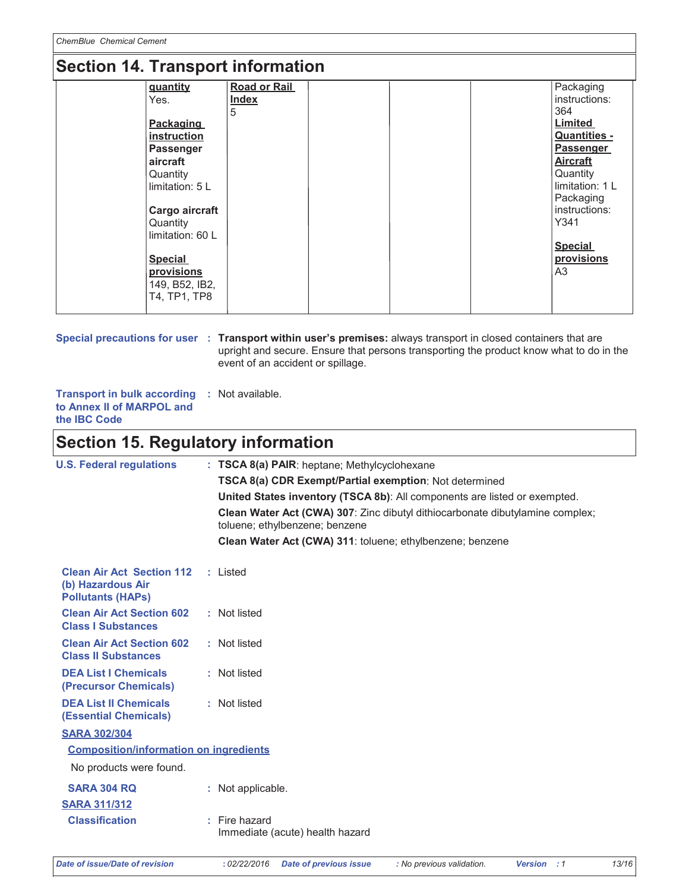## Section 14 Transport information

| $\overline{\phantom{a}}$ |                     |                     |
|--------------------------|---------------------|---------------------|
| quantity                 | <b>Road or Rail</b> | Packaging           |
| Yes.                     | <b>Index</b>        | instructions:       |
|                          | 5                   | 364                 |
| Packaging                |                     | <b>Limited</b>      |
| instruction              |                     | <b>Quantities -</b> |
| <b>Passenger</b>         |                     | <b>Passenger</b>    |
| aircraft                 |                     | <b>Aircraft</b>     |
| Quantity                 |                     | Quantity            |
| limitation: 5 L          |                     | limitation: 1 L     |
|                          |                     | Packaging           |
| Cargo aircraft           |                     | instructions:       |
| Quantity                 |                     | Y341                |
| limitation: 60 L         |                     |                     |
|                          |                     | <b>Special</b>      |
| <b>Special</b>           |                     | provisions          |
| provisions               |                     | A3                  |
| 149, B52, IB2,           |                     |                     |
| T4, TP1, TP8             |                     |                     |
|                          |                     |                     |

Special precautions for user : Transport within user's premises: always transport in closed containers that are upright and secure. Ensure that persons transporting the product know what to do in the event of an accident or spillage.

**Transport in bulk according : Not available.** to Annex II of MARPOL and the IBC Code

## **Section 15. Regulatory information**

| <b>U.S. Federal regulations</b>                                                   | : TSCA 8(a) PAIR: heptane; Methylcyclohexane                                                                    |
|-----------------------------------------------------------------------------------|-----------------------------------------------------------------------------------------------------------------|
|                                                                                   | TSCA 8(a) CDR Exempt/Partial exemption: Not determined                                                          |
|                                                                                   | United States inventory (TSCA 8b): All components are listed or exempted.                                       |
|                                                                                   | Clean Water Act (CWA) 307: Zinc dibutyl dithiocarbonate dibutylamine complex;<br>toluene; ethylbenzene; benzene |
|                                                                                   | Clean Water Act (CWA) 311: toluene; ethylbenzene; benzene                                                       |
| <b>Clean Air Act Section 112</b><br>(b) Hazardous Air<br><b>Pollutants (HAPS)</b> | : Listed                                                                                                        |
| <b>Clean Air Act Section 602</b><br><b>Class I Substances</b>                     | : Not listed                                                                                                    |
| <b>Clean Air Act Section 602</b><br><b>Class II Substances</b>                    | : Not listed                                                                                                    |
| <b>DEA List I Chemicals</b><br>(Precursor Chemicals)                              | : Not listed                                                                                                    |
| <b>DEA List II Chemicals</b><br><b>(Essential Chemicals)</b>                      | : Not listed                                                                                                    |
| <b>SARA 302/304</b>                                                               |                                                                                                                 |
| <b>Composition/information on ingredients</b>                                     |                                                                                                                 |
| No products were found.                                                           |                                                                                                                 |
| <b>SARA 304 RQ</b>                                                                | : Not applicable.                                                                                               |
| <b>SARA 311/312</b>                                                               |                                                                                                                 |
| <b>Classification</b>                                                             | : Fire hazard<br>Immediate (acute) health hazard                                                                |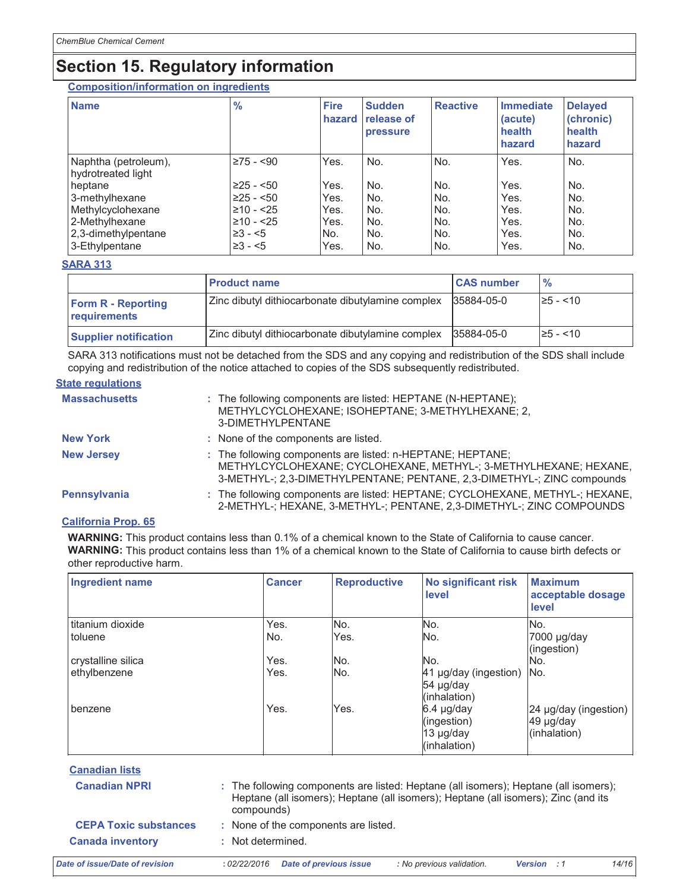# **Section 15. Regulatory information**

**Composition/information on ingredients** 

| <b>Name</b>                                | $\frac{9}{6}$   | <b>Fire</b><br>hazard | <b>Sudden</b><br>release of<br>pressure | <b>Reactive</b> | Immediate<br>(acute)<br>health<br>hazard | <b>Delayed</b><br>(chronic)<br>health<br>hazard |
|--------------------------------------------|-----------------|-----------------------|-----------------------------------------|-----------------|------------------------------------------|-------------------------------------------------|
| Naphtha (petroleum),<br>hydrotreated light | $\geq 75 - 90$  | Yes.                  | No.                                     | No.             | Yes.                                     | No.                                             |
| heptane                                    | $\geq$ 25 - <50 | Yes.                  | No.                                     | No.             | Yes.                                     | No.                                             |
| 3-methylhexane                             | $\geq$ 25 - <50 | Yes.                  | No.                                     | No.             | Yes.                                     | No.                                             |
| Methylcyclohexane                          | $≥10 - 25$      | Yes.                  | No.                                     | No.             | Yes.                                     | No.                                             |
| 2-Methylhexane                             | $\geq 10 - 25$  | Yes.                  | No.                                     | No.             | Yes.                                     | No.                                             |
| 2,3-dimethylpentane                        | $\geq 3 - 5$    | No.                   | No.                                     | No.             | Yes.                                     | No.                                             |
| 3-Ethylpentane                             | $\geq 3 - 5$    | Yes.                  | No.                                     | No.             | Yes.                                     | No.                                             |

#### **SARA 313**

|                                           | <b>Product name</b>                               | <b>CAS number</b> | $\frac{9}{6}$ |
|-------------------------------------------|---------------------------------------------------|-------------------|---------------|
| <b>Form R - Reporting</b><br>requirements | Zinc dibutyl dithiocarbonate dibutylamine complex | 35884-05-0        | $\ge$ 5 - <10 |
| <b>Supplier notification</b>              | Zinc dibutyl dithiocarbonate dibutylamine complex | 35884-05-0        | $\ge$ 5 - <10 |

SARA 313 notifications must not be detached from the SDS and any copying and redistribution of the SDS shall include copying and redistribution of the notice attached to copies of the SDS subsequently redistributed.

#### **State regulations**

| <b>Massachusetts</b> | : The following components are listed: HEPTANE (N-HEPTANE);<br>METHYLCYCLOHEXANE; ISOHEPTANE; 3-METHYLHEXANE; 2,<br>3-DIMETHYLPENTANE                                                                    |
|----------------------|----------------------------------------------------------------------------------------------------------------------------------------------------------------------------------------------------------|
| <b>New York</b>      | : None of the components are listed.                                                                                                                                                                     |
| <b>New Jersey</b>    | : The following components are listed: n-HEPTANE; HEPTANE;<br>METHYLCYCLOHEXANE; CYCLOHEXANE, METHYL-; 3-METHYLHEXANE; HEXANE,<br>3-METHYL-; 2,3-DIMETHYLPENTANE; PENTANE, 2,3-DIMETHYL-; ZINC compounds |
| Pennsylvania         | : The following components are listed: HEPTANE; CYCLOHEXANE, METHYL-; HEXANE,<br>2-METHYL-; HEXANE, 3-METHYL-; PENTANE, 2,3-DIMETHYL-; ZINC COMPOUNDS                                                    |

#### **California Prop. 65**

WARNING: This product contains less than 0.1% of a chemical known to the State of California to cause cancer. WARNING: This product contains less than 1% of a chemical known to the State of California to cause birth defects or other reproductive harm.

| <b>Ingredient name</b> | <b>Cancer</b> | <b>Reproductive</b> | <b>No significant risk</b><br>level                      | <b>Maximum</b><br>acceptable dosage<br>level            |
|------------------------|---------------|---------------------|----------------------------------------------------------|---------------------------------------------------------|
| I titanium dioxide     | Yes.          | No.                 | No.                                                      | No.                                                     |
| <b>toluene</b>         | No.           | Yes.                | No.                                                      | 7000 µg/day<br>(ingestion)                              |
| crystalline silica     | Yes.          | No.                 | No.                                                      | INo.                                                    |
| ethylbenzene           | Yes.          | INo.                | 41 µg/day (ingestion) No.<br>54 µg/day<br>(inhalation)   |                                                         |
| benzene                | Yes.          | Yes.                | $6.4$ µg/day<br>(ingestion)<br>13 µg/day<br>(inhalation) | $24 \mu g/day$ (ingestion)<br>49 µg/day<br>(inhalation) |

| <b>Canadian lists</b>          |                   |                                      |                                                                                                                                                                            |                             |       |
|--------------------------------|-------------------|--------------------------------------|----------------------------------------------------------------------------------------------------------------------------------------------------------------------------|-----------------------------|-------|
| <b>Canadian NPRI</b>           | compounds)        |                                      | : The following components are listed: Heptane (all isomers); Heptane (all isomers);<br>Heptane (all isomers); Heptane (all isomers); Heptane (all isomers); Zinc (and its |                             |       |
| <b>CEPA Toxic substances</b>   |                   | : None of the components are listed. |                                                                                                                                                                            |                             |       |
| <b>Canada inventory</b>        | : Not determined. |                                      |                                                                                                                                                                            |                             |       |
| Date of issue/Date of revision | :02/22/2016       | <b>Date of previous issue</b>        | : No previous validation.                                                                                                                                                  | <b>Version</b><br>$\cdot$ 1 | 14/16 |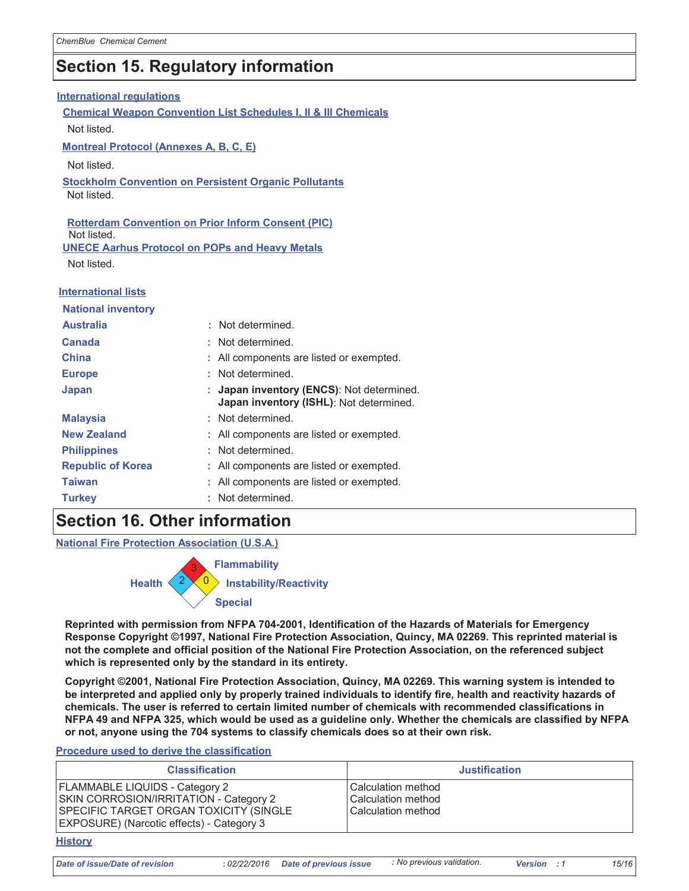### **Section 15. Regulatory information**

| <b>International requlations</b>                                                                                                                 |    |                                                                                    |  |  |
|--------------------------------------------------------------------------------------------------------------------------------------------------|----|------------------------------------------------------------------------------------|--|--|
| <b>Chemical Weapon Convention List Schedules I, II &amp; III Chemicals</b>                                                                       |    |                                                                                    |  |  |
| Not listed.                                                                                                                                      |    |                                                                                    |  |  |
| <b>Montreal Protocol (Annexes A, B, C, E)</b>                                                                                                    |    |                                                                                    |  |  |
| Not listed.                                                                                                                                      |    |                                                                                    |  |  |
| <b>Stockholm Convention on Persistent Organic Pollutants</b><br>Not listed.                                                                      |    |                                                                                    |  |  |
| <b>Rotterdam Convention on Prior Inform Consent (PIC)</b><br>Not listed.<br><b>UNECE Aarhus Protocol on POPs and Heavy Metals</b><br>Not listed. |    |                                                                                    |  |  |
| <b>International lists</b>                                                                                                                       |    |                                                                                    |  |  |
| <b>National inventory</b>                                                                                                                        |    |                                                                                    |  |  |
| <b>Australia</b>                                                                                                                                 | ÷. | Not determined.                                                                    |  |  |
| Canada                                                                                                                                           |    | Not determined.                                                                    |  |  |
| <b>China</b>                                                                                                                                     |    | All components are listed or exempted.                                             |  |  |
| <b>Europe</b>                                                                                                                                    |    | Not determined.                                                                    |  |  |
| Japan                                                                                                                                            |    | Japan inventory (ENCS): Not determined.<br>Japan inventory (ISHL): Not determined. |  |  |
| <b>Malaysia</b>                                                                                                                                  |    | Not determined.                                                                    |  |  |
| <b>New Zealand</b>                                                                                                                               |    | All components are listed or exempted.                                             |  |  |
| <b>Philippines</b>                                                                                                                               |    | Not determined.                                                                    |  |  |
| <b>Republic of Korea</b>                                                                                                                         |    | All components are listed or exempted.                                             |  |  |
| <b>Taiwan</b>                                                                                                                                    |    | All components are listed or exempted.                                             |  |  |
| <b>Turkey</b>                                                                                                                                    |    | Not determined.                                                                    |  |  |

### **Section 16. Other information**

**National Fire Protection Association (U.S.A.)** 



Reprinted with permission from NFPA 704-2001, Identification of the Hazards of Materials for Emergency Response Copyright ©1997, National Fire Protection Association, Quincy, MA 02269. This reprinted material is not the complete and official position of the National Fire Protection Association, on the referenced subject which is represented only by the standard in its entirety.

Copyright ©2001, National Fire Protection Association, Quincy, MA 02269. This warning system is intended to be interpreted and applied only by properly trained individuals to identify fire, health and reactivity hazards of chemicals. The user is referred to certain limited number of chemicals with recommended classifications in NFPA 49 and NFPA 325, which would be used as a guideline only. Whether the chemicals are classified by NFPA or not, anyone using the 704 systems to classify chemicals does so at their own risk.

#### Procedure used to derive the classification

| <b>Classification</b>                                                                                                                                                  | <b>Justification</b>                                           |
|------------------------------------------------------------------------------------------------------------------------------------------------------------------------|----------------------------------------------------------------|
| FLAMMABLE LIQUIDS - Category 2<br><b>SKIN CORROSION/IRRITATION - Category 2</b><br>SPECIFIC TARGET ORGAN TOXICITY (SINGLE<br>EXPOSURE) (Narcotic effects) - Category 3 | Calculation method<br>Calculation method<br>Calculation method |

#### **History**